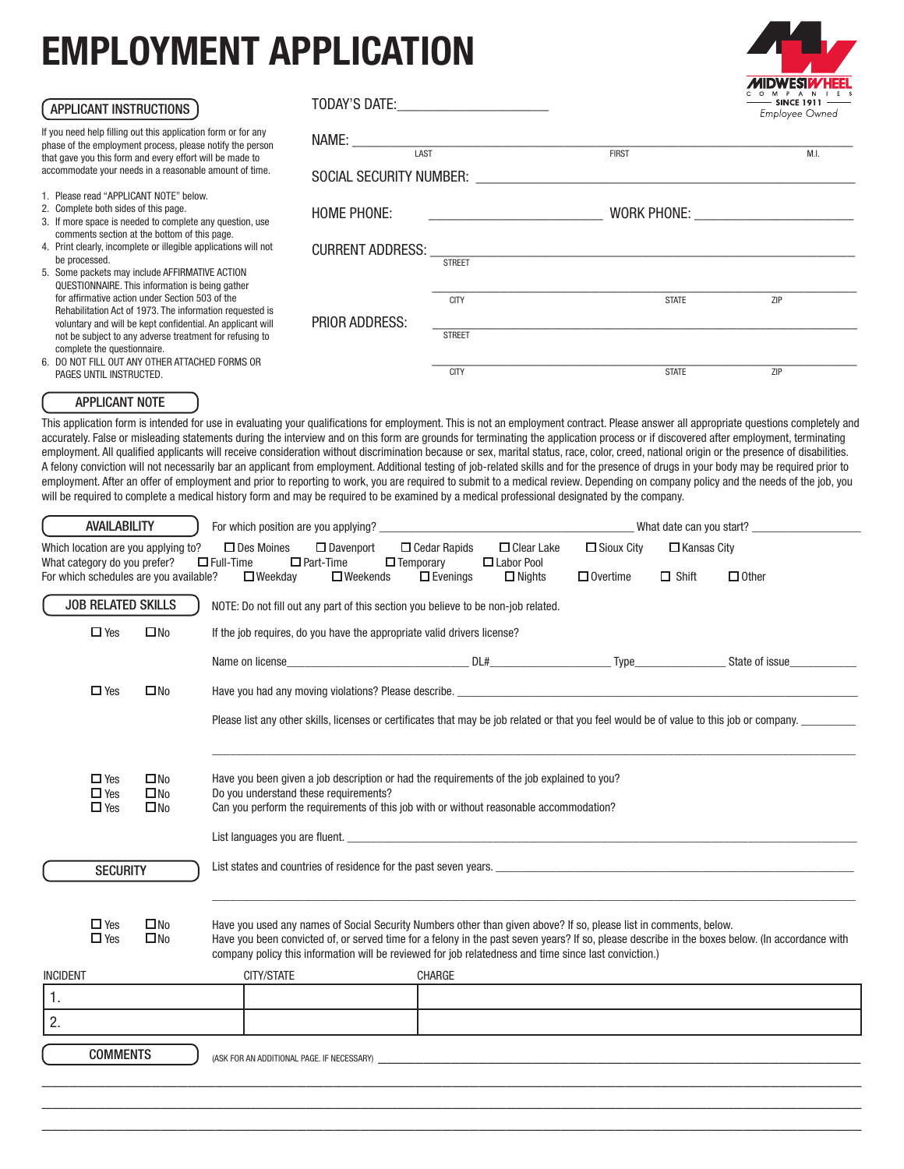## EMPLOYMENT APPLICATION



| APPLICANT INSTRUCTIONS                                                                                                                                                                     | TODAY'S DATE:           |                         |                                                                                                                | $-$ SINCE 1911 $-$<br>Employee Owned |  |
|--------------------------------------------------------------------------------------------------------------------------------------------------------------------------------------------|-------------------------|-------------------------|----------------------------------------------------------------------------------------------------------------|--------------------------------------|--|
| If you need help filling out this application form or for any<br>phase of the employment process, please notify the person<br>that gave you this form and every effort will be made to     | Name:<br>LAST           |                         | <b>FIRST</b>                                                                                                   | M.L                                  |  |
| accommodate your needs in a reasonable amount of time.                                                                                                                                     |                         | SOCIAL SECURITY NUMBER: |                                                                                                                |                                      |  |
| 1. Please read "APPLICANT NOTE" below.<br>2. Complete both sides of this page.<br>3. If more space is needed to complete any question, use<br>comments section at the bottom of this page. | <b>HOME PHONE:</b>      |                         | WORK PHONE: WORK AND THE STATE OF THE STATE OF THE STATE OF THE STATE OF THE STATE OF THE STATE OF THE STATE O |                                      |  |
| 4. Print clearly, incomplete or illegible applications will not<br>be processed.                                                                                                           | <b>CURRENT ADDRESS:</b> |                         |                                                                                                                |                                      |  |
| 5. Some packets may include AFFIRMATIVE ACTION<br>QUESTIONNAIRE. This information is being gather                                                                                          |                         | <b>STREET</b>           |                                                                                                                |                                      |  |
| for affirmative action under Section 503 of the<br>Rehabilitation Act of 1973. The information requested is<br>voluntary and will be kept confidential. An applicant will                  | <b>PRIOR ADDRESS:</b>   | <b>CITY</b>             | <b>STATE</b>                                                                                                   | ZIP                                  |  |
| not be subject to any adverse treatment for refusing to<br>complete the questionnaire.                                                                                                     |                         | <b>STREET</b>           |                                                                                                                |                                      |  |
| 6. DO NOT FILL OUT ANY OTHER ATTACHED FORMS OR<br>PAGES UNTIL INSTRUCTED.                                                                                                                  |                         | <b>CITY</b>             | <b>STATE</b>                                                                                                   | ZIP                                  |  |
| <b>APPLICANT NOTE</b>                                                                                                                                                                      |                         |                         |                                                                                                                |                                      |  |

This application form is intended for use in evaluating your qualifications for employment. This is not an employment contract. Please answer all appropriate questions completely and accurately. False or misleading statements during the interview and on this form are grounds for terminating the application process or if discovered after employment, terminating employment. All qualified applicants will receive consideration without discrimination because or sex, marital status, race, color, creed, national origin or the presence of disabilities. A felony conviction will not necessarily bar an applicant from employment. Additional testing of job-related skills and for the presence of drugs in your body may be required prior to employment. After an offer of employment and prior to reporting to work, you are required to submit to a medical review. Depending on company policy and the needs of the job, you will be required to complete a medical history form and may be required to be examined by a medical professional designated by the company.

| <b>AVAILABILITY</b>                                                                 |                              |                                                                               |                                                                                                                                                                                                                                                                                                                                                                               |                                                                                                                       | What date can you start?             |                                    |              |  |
|-------------------------------------------------------------------------------------|------------------------------|-------------------------------------------------------------------------------|-------------------------------------------------------------------------------------------------------------------------------------------------------------------------------------------------------------------------------------------------------------------------------------------------------------------------------------------------------------------------------|-----------------------------------------------------------------------------------------------------------------------|--------------------------------------|------------------------------------|--------------|--|
|                                                                                     | What category do you prefer? | Which location are you applying to?<br>For which schedules are you available? | $\Box$ Des Moines<br>$\Box$ Davenport<br>$\Box$ Part-Time<br>$\Box$ Full-Time<br>$\Box$ Weekday<br>$\Box$ Weekends                                                                                                                                                                                                                                                            | $\Box$ Cedar Rapids<br>$\Box$ Clear Lake<br>$\Box$ Temporary<br>$\Box$ Labor Pool<br>$\Box$ Nights<br>$\Box$ Evenings | $\Box$ Sioux City<br>$\Box$ Overtime | $\Box$ Kansas City<br>$\Box$ Shift | $\Box$ Other |  |
|                                                                                     | <b>JOB RELATED SKILLS</b>    |                                                                               | NOTE: Do not fill out any part of this section you believe to be non-job related.                                                                                                                                                                                                                                                                                             |                                                                                                                       |                                      |                                    |              |  |
|                                                                                     | $\Box$ Yes                   | $\square$ No                                                                  | If the job requires, do you have the appropriate valid drivers license?                                                                                                                                                                                                                                                                                                       |                                                                                                                       |                                      |                                    |              |  |
|                                                                                     |                              |                                                                               | Name on license State of issue DL# DL# Type State of issue                                                                                                                                                                                                                                                                                                                    |                                                                                                                       |                                      |                                    |              |  |
|                                                                                     | $\Box$ Yes                   | $\square$ No                                                                  |                                                                                                                                                                                                                                                                                                                                                                               |                                                                                                                       |                                      |                                    |              |  |
|                                                                                     |                              |                                                                               | Please list any other skills, licenses or certificates that may be job related or that you feel would be of value to this job or company. _________                                                                                                                                                                                                                           |                                                                                                                       |                                      |                                    |              |  |
|                                                                                     |                              |                                                                               |                                                                                                                                                                                                                                                                                                                                                                               |                                                                                                                       |                                      |                                    |              |  |
|                                                                                     | $\Box$ Yes<br>$\Box$ Yes     | $\square$ No<br>$\square$ No                                                  | Have you been given a job description or had the requirements of the job explained to you?<br>Do you understand these requirements?                                                                                                                                                                                                                                           |                                                                                                                       |                                      |                                    |              |  |
|                                                                                     | $\Box$ Yes                   | $\square$ No                                                                  | Can you perform the requirements of this job with or without reasonable accommodation?                                                                                                                                                                                                                                                                                        |                                                                                                                       |                                      |                                    |              |  |
|                                                                                     |                              |                                                                               |                                                                                                                                                                                                                                                                                                                                                                               |                                                                                                                       |                                      |                                    |              |  |
| List states and countries of residence for the past seven years.<br><b>SECURITY</b> |                              |                                                                               |                                                                                                                                                                                                                                                                                                                                                                               |                                                                                                                       |                                      |                                    |              |  |
|                                                                                     |                              |                                                                               |                                                                                                                                                                                                                                                                                                                                                                               |                                                                                                                       |                                      |                                    |              |  |
|                                                                                     | $\Box$ Yes<br>$\Box$ Yes     | $\square$ No<br>$\square$ No                                                  | Have you used any names of Social Security Numbers other than given above? If so, please list in comments, below.<br>Have you been convicted of, or served time for a felony in the past seven years? If so, please describe in the boxes below. (In accordance with<br>company policy this information will be reviewed for job relatedness and time since last conviction.) |                                                                                                                       |                                      |                                    |              |  |
| <b>INCIDENT</b>                                                                     |                              |                                                                               | CITY/STATE                                                                                                                                                                                                                                                                                                                                                                    | <b>CHARGE</b>                                                                                                         |                                      |                                    |              |  |
| 1.                                                                                  |                              |                                                                               |                                                                                                                                                                                                                                                                                                                                                                               |                                                                                                                       |                                      |                                    |              |  |
| 2.                                                                                  |                              |                                                                               |                                                                                                                                                                                                                                                                                                                                                                               |                                                                                                                       |                                      |                                    |              |  |
|                                                                                     | <b>COMMENTS</b>              |                                                                               | (ASK FOR AN ADDITIONAL PAGE. IF NECESSARY) AND A STATE AND A STATE OF STATE AND A STATE OF STATE OF STATE OF S                                                                                                                                                                                                                                                                |                                                                                                                       |                                      |                                    |              |  |
|                                                                                     |                              |                                                                               |                                                                                                                                                                                                                                                                                                                                                                               |                                                                                                                       |                                      |                                    |              |  |

\_\_\_\_\_\_\_\_\_\_\_\_\_\_\_\_\_\_\_\_\_\_\_\_\_\_\_\_\_\_\_\_\_\_\_\_\_\_\_\_\_\_\_\_\_\_\_\_\_\_\_\_\_\_\_\_\_\_\_\_\_\_\_\_\_\_\_\_\_\_\_\_\_\_\_\_\_\_\_\_\_\_\_\_\_\_\_\_\_\_ \_\_\_\_\_\_\_\_\_\_\_\_\_\_\_\_\_\_\_\_\_\_\_\_\_\_\_\_\_\_\_\_\_\_\_\_\_\_\_\_\_\_\_\_\_\_\_\_\_\_\_\_\_\_\_\_\_\_\_\_\_\_\_\_\_\_\_\_\_\_\_\_\_\_\_\_\_\_\_\_\_\_\_\_\_\_\_\_\_\_